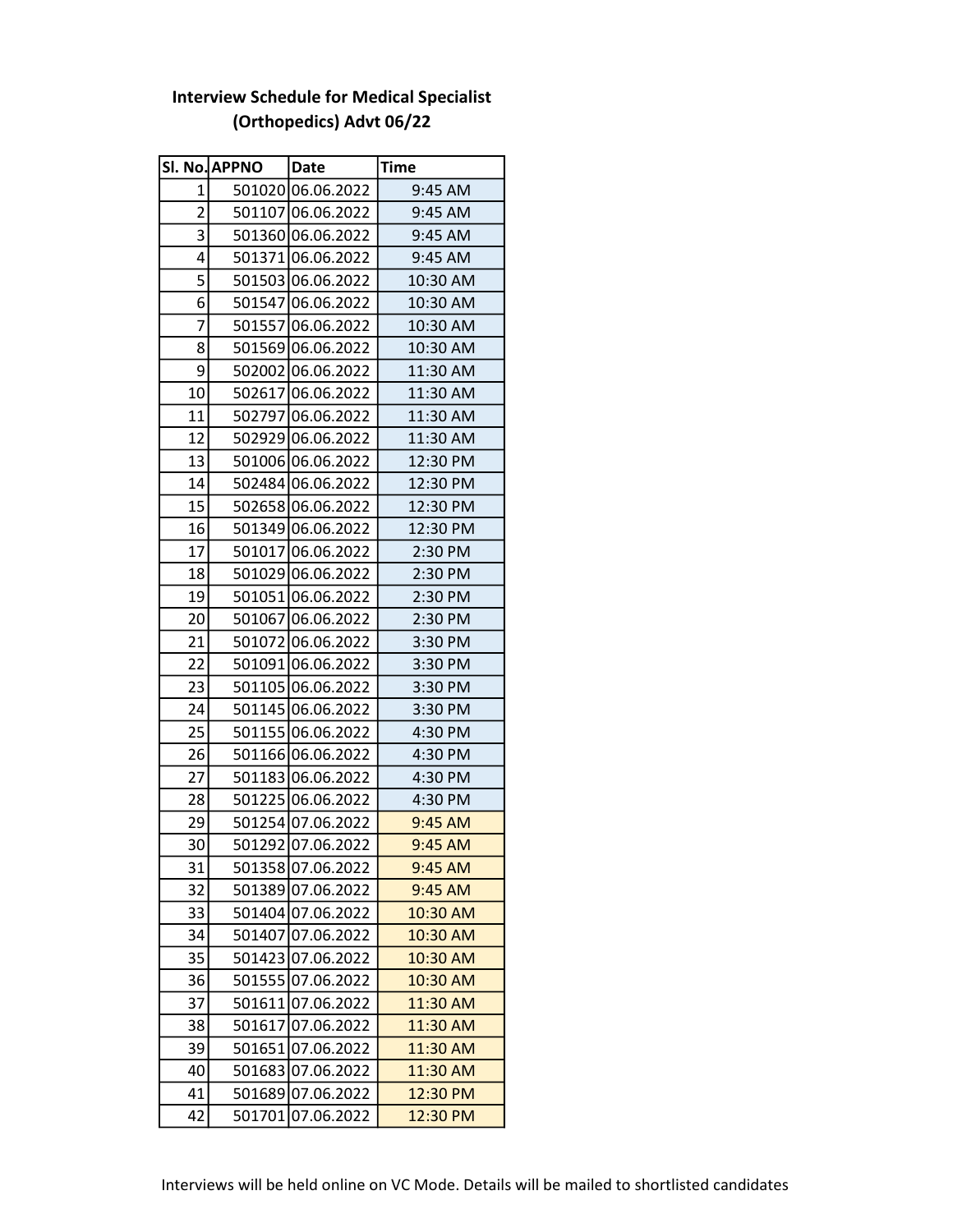## SI. No. APPNO Date Time 1 501020 06.06.2022 9:45 AM 2 501107 06.06.2022 9:45 AM 3 501360 06.06.2022 9:45 AM 4 501371 06.06.2022 9:45 AM 5 501503 06.06.2022 10:30 AM  $6$  501547 06.06.2022 10:30 AM 7 501557 06.06.2022 10:30 AM 8 501569 06.06.2022 10:30 AM 9 502002 06.06.2022 11:30 AM 10 502617 06.06.2022 11:30 AM 11 502797 06.06.2022 11:30 AM 12 502929 06.06.2022 11:30 AM 13 501006 06.06.2022 12:30 PM 14 502484 06.06.2022 12:30 PM 15 502658 06.06.2022 12:30 PM 16 501349 06.06.2022 12:30 PM 17 501017 06.06.2022 2:30 PM 18 501029 06.06.2022 2:30 PM 19 501051 06.06.2022 2:30 PM 20 501067 06.06.2022 2:30 PM 21 501072 06.06.2022 3:30 PM 22 501091 06.06.2022 3:30 PM 23 501105 06.06.2022 3:30 PM 24 501145 06.06.2022 3:30 PM 25 501155 06.06.2022 4:30 PM 26 501166 06.06.2022 4:30 PM 27 501183 06.06.2022 4:30 PM 28 501225 06.06.2022 4:30 PM 29 501254 07.06.2022 9:45 AM 30 501292 07.06.2022 9:45 AM 31 501358 07.06.2022 9:45 AM 32 501389 07.06.2022 9:45 AM 33 501404 07.06.2022 10:30 AM 34 501407 07.06.2022 10:30 AM 35 501423 07.06.2022 30:30 AM 36 501555 07.06.2022 10:30 AM 37 501611 07.06.2022 11:30 AM 38 501617 07.06.2022 11:30 AM 39 501651 07.06.2022 11:30 AM 40 501683 07.06.2022 11:30 AM 41 501689 07.06.2022 32:30 PM

42 501701 07.06.2022 32:30 PM

## Interview Schedule for Medical Specialist (Orthopedics) Advt 06/22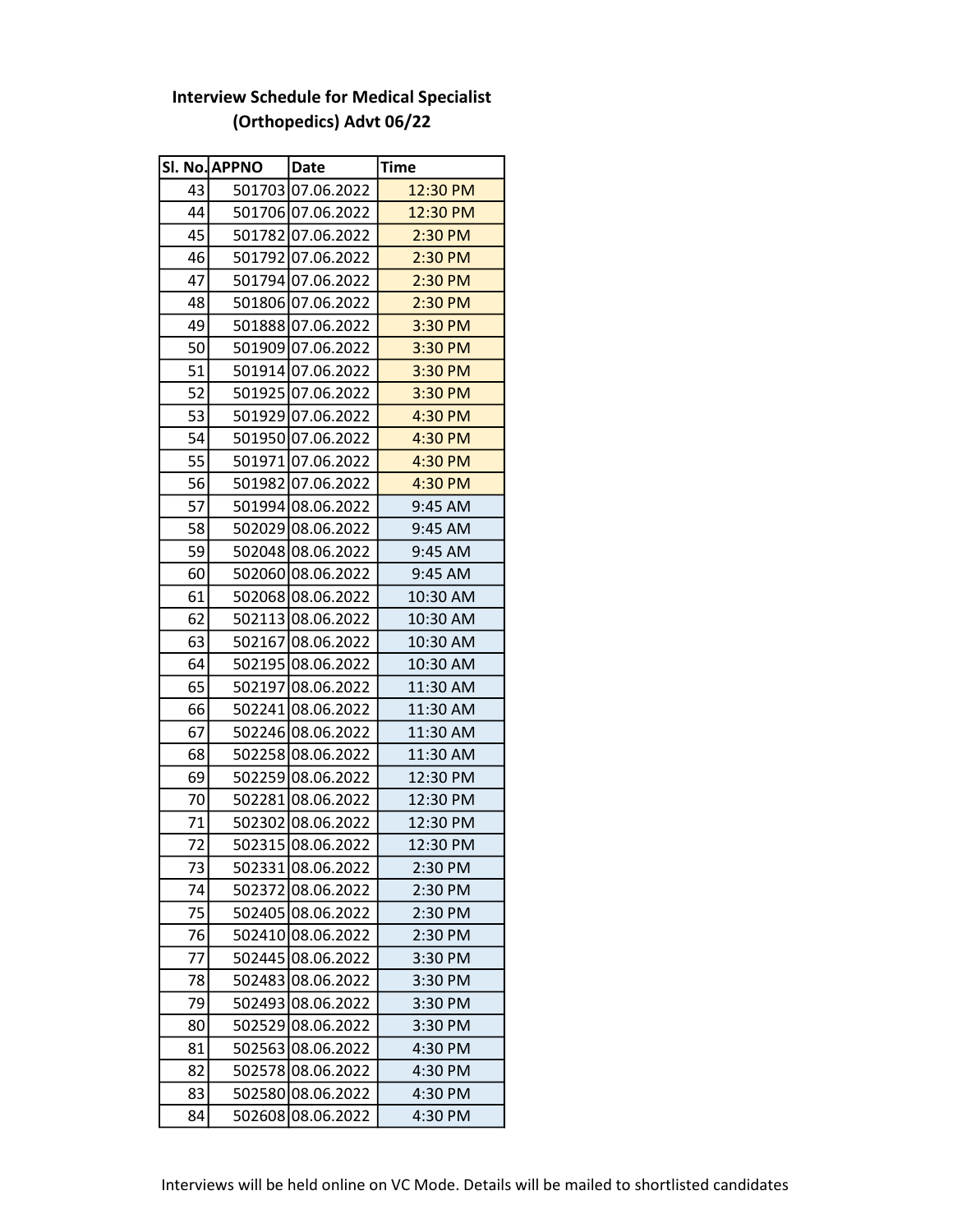|    | Sl. No. APPNO | Date              | <b>Time</b> |
|----|---------------|-------------------|-------------|
| 43 |               | 501703 07.06.2022 | 12:30 PM    |
| 44 |               | 501706 07.06.2022 | 12:30 PM    |
| 45 |               | 501782 07.06.2022 | $2:30$ PM   |
| 46 |               | 501792 07.06.2022 | 2:30 PM     |
| 47 |               | 501794 07.06.2022 | 2:30 PM     |
| 48 |               | 501806 07.06.2022 | 2:30 PM     |
| 49 |               | 501888 07.06.2022 | 3:30 PM     |
| 50 |               | 501909 07.06.2022 | 3:30 PM     |
| 51 |               | 501914 07.06.2022 | $3:30$ PM   |
| 52 |               | 501925 07.06.2022 | $3:30$ PM   |
| 53 |               | 501929 07.06.2022 | 4:30 PM     |
| 54 |               | 501950 07.06.2022 | 4:30 PM     |
| 55 |               | 501971 07.06.2022 | 4:30 PM     |
| 56 |               | 501982 07.06.2022 | 4:30 PM     |
| 57 |               | 501994 08.06.2022 | 9:45 AM     |
| 58 |               | 502029 08.06.2022 | 9:45 AM     |
| 59 |               | 502048 08.06.2022 | 9:45 AM     |
| 60 |               | 502060 08.06.2022 | 9:45 AM     |
| 61 |               | 502068 08.06.2022 | 10:30 AM    |
| 62 |               | 502113 08.06.2022 | 10:30 AM    |
| 63 |               | 502167 08.06.2022 | 10:30 AM    |
| 64 |               | 502195 08.06.2022 | 10:30 AM    |
| 65 |               | 502197 08.06.2022 | 11:30 AM    |
| 66 |               | 502241 08.06.2022 | 11:30 AM    |
| 67 |               | 502246 08.06.2022 | 11:30 AM    |
| 68 |               | 502258 08.06.2022 | 11:30 AM    |
| 69 |               | 502259 08.06.2022 | 12:30 PM    |
| 70 |               | 502281 08.06.2022 | 12:30 PM    |
| 71 |               | 502302 08.06.2022 | 12:30 PM    |
| 72 |               | 502315 08.06.2022 | 12:30 PM    |
| 73 |               | 502331 08.06.2022 | 2:30 PM     |
| 74 |               | 502372 08.06.2022 | 2:30 PM     |
| 75 |               | 502405 08.06.2022 | 2:30 PM     |
| 76 | 502410        | 08.06.2022        | 2:30 PM     |
| 77 |               | 502445 08.06.2022 | 3:30 PM     |
| 78 |               | 502483 08.06.2022 | 3:30 PM     |
| 79 |               | 502493 08.06.2022 | 3:30 PM     |
| 80 |               | 502529 08.06.2022 | 3:30 PM     |
| 81 |               | 502563 08.06.2022 | 4:30 PM     |
| 82 |               | 502578 08.06.2022 | 4:30 PM     |
| 83 |               | 502580 08.06.2022 | 4:30 PM     |
| 84 |               | 502608 08.06.2022 | 4:30 PM     |

 $\mathbf{I}$ 

## Interview Schedule for Medical Specialist (Orthopedics) Advt 06/22